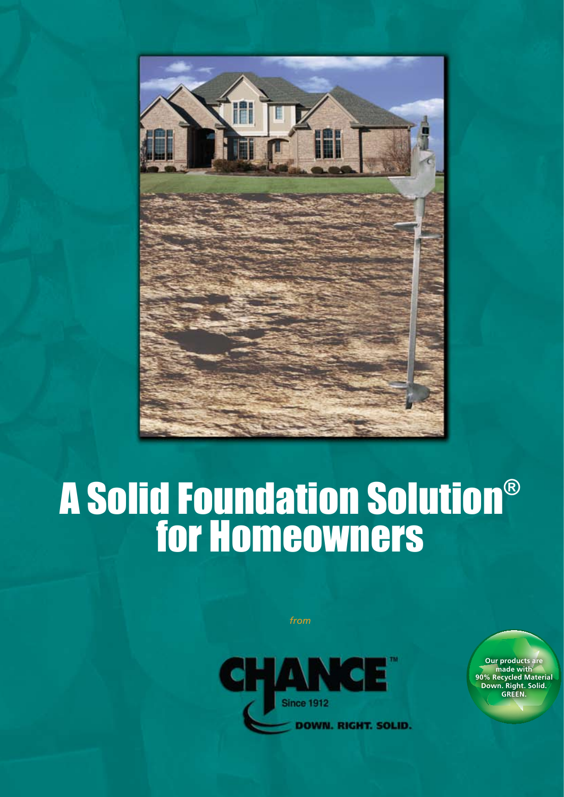

# A Solid Foundation Solution® for Homeowners

*from*



**Our products are made with 90% Recycled Material Down. Right. Solid. GREEN.**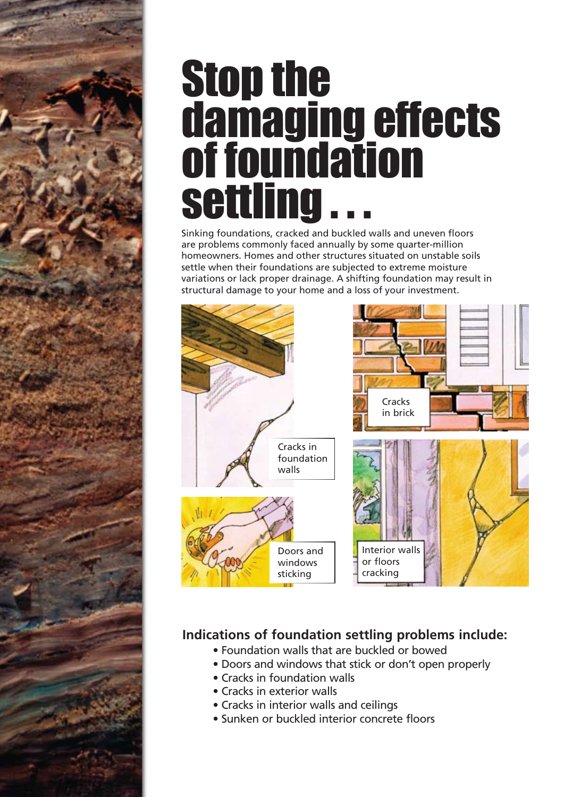# Stop the damaging effects of foundation settling

Sinking foundations, cracked and buckled walls and uneven floors are problems commonly faced annually by some quarter-million homeowners. Homes and other structures situated on unstable soils settle when their foundations are subjected to extreme moisture variations or lack proper drainage. A shifting foundation may result in structural damage to your home and a loss of your investment.



## **Indications of foundation settling problems include:**

- Foundation walls that are buckled or bowed
- Doors and windows that stick or don't open properly
- Cracks in foundation walls
- Cracks in exterior walls
- Cracks in interior walls and ceilings
- Sunken or buckled interior concrete floors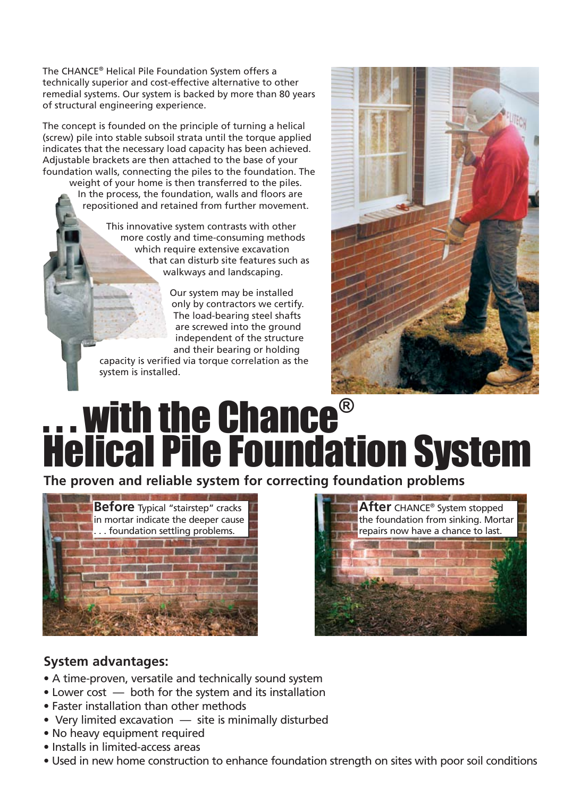The CHANCE® Helical Pile Foundation System offers a technically superior and cost-effective alternative to other remedial systems. Our system is backed by more than 80 years of structural engineering experience.

The concept is founded on the principle of turning a helical (screw) pile into stable subsoil strata until the torque applied indicates that the necessary load capacity has been achieved. Adjustable brackets are then attached to the base of your foundation walls, connecting the piles to the foundation. The

weight of your home is then transferred to the piles. In the process, the foundation, walls and floors are repositioned and retained from further movement.

> This innovative system contrasts with other more costly and time-consuming methods which require extensive excavation that can disturb site features such as walkways and landscaping.

> > Our system may be installed only by contractors we certify. The load-bearing steel shafts are screwed into the ground independent of the structure and their bearing or holding

capacity is verified via torque correlation as the system is installed.



# **... with the Chance®** Helical Pile Foundation System

**The proven and reliable system for correcting foundation problems**





### **System advantages:**

- A time-proven, versatile and technically sound system
- Lower cost  —  both for the system and its installation
- Faster installation than other methods
- Very limited excavation  —  site is minimally disturbed
- No heavy equipment required
- Installs in limited-access areas
- Used in new home construction to enhance foundation strength on sites with poor soil conditions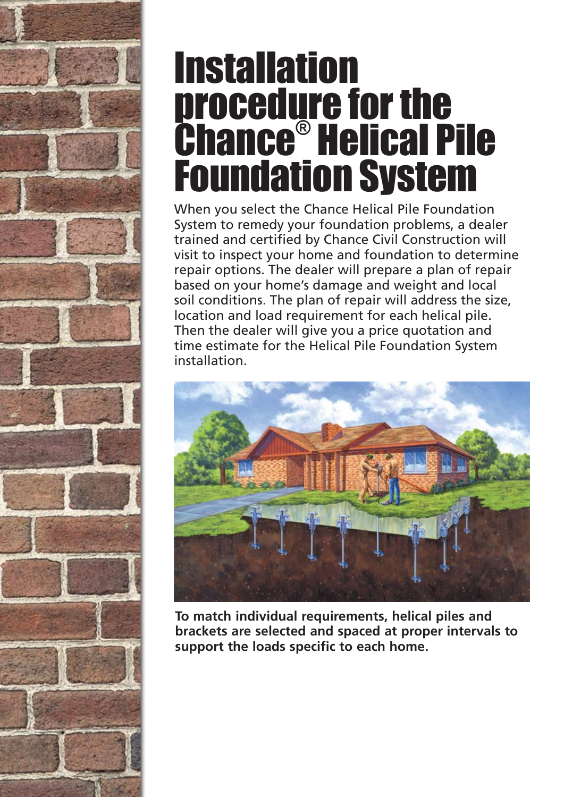# **Installation** procedure for the Chance® Helical Pile Foundation System

When you select the Chance Helical Pile Foundation System to remedy your foundation problems, a dealer trained and certified by Chance Civil Construction will visit to inspect your home and foundation to determine repair options. The dealer will prepare a plan of repair based on your home's damage and weight and local soil conditions. The plan of repair will address the size, location and load requirement for each helical pile. Then the dealer will give you a price quotation and time estimate for the Helical Pile Foundation System installation.



**To match individual requirements, helical piles and brackets are selected and spaced at proper intervals to support the loads specific to each home.**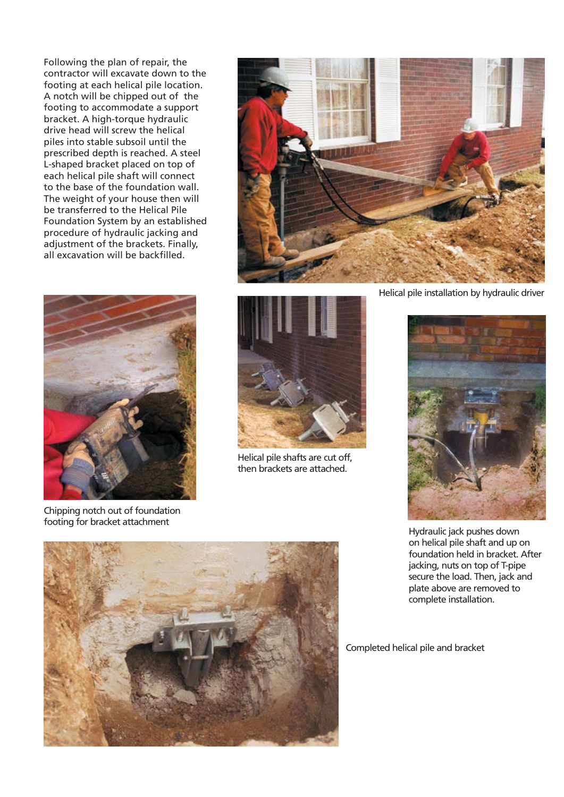Following the plan of repair, the contractor will excavate down to the footing at each helical pile location. A notch will be chipped out of the footing to accommodate a support bracket. A high-torque hydraulic drive head will screw the helical piles into stable subsoil until the prescribed depth is reached. A steel L-shaped bracket placed on top of each helical pile shaft will connect to the base of the foundation wall. The weight of your house then will be transferred to the Helical Pile Foundation System by an established procedure of hydraulic jacking and adjustment of the brackets. Finally, all excavation will be backfilled.



Chipping notch out of foundation footing for bracket attachment





Helical pile shafts are cut off, then brackets are attached.

Helical pile installation by hydraulic driver



Hydraulic jack pushes down on helical pile shaft and up on foundation held in bracket. After jacking, nuts on top of T-pipe secure the load. Then, jack and plate above are removed to complete installation.



Completed helical pile and bracket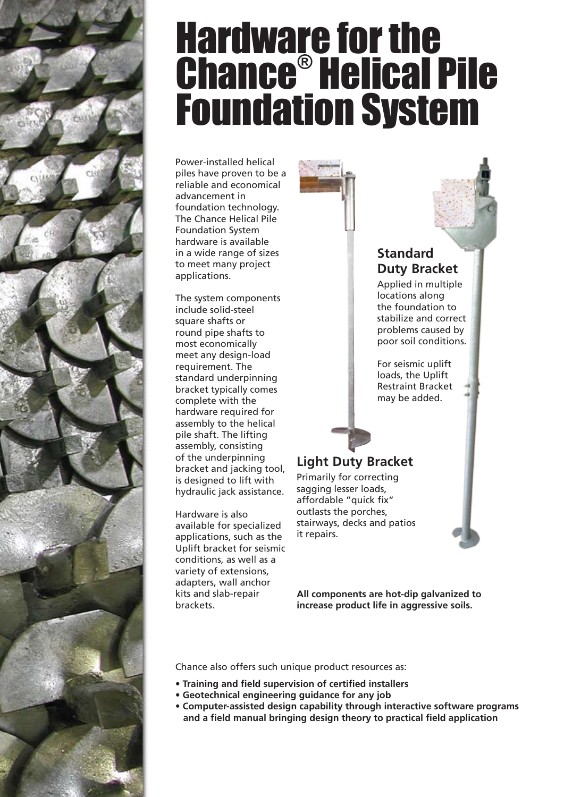

# **Hardware for the** Chance® Helical Pile Foundation System

Power-installed helical piles have proven to be a reliable and economical advancement in foundation technology. The Chance Helical Pile Foundation System hardware is available in a wide range of sizes to meet many project applications.

The system components include solid-steel square shafts or round pipe shafts to most economically meet any design-load requirement. The standard underpinning bracket typically comes complete with the hardware required for assembly to the helical pile shaft. The lifting assembly, consisting of the underpinning bracket and jacking tool, is designed to lift with hydraulic jack assistance.

Hardware is also available for specialized applications, such as the Uplift bracket for seismic conditions, as well as a variety of extensions, adapters, wall anchor kits and slab-repair brackets.

Applied in multiple locations along the foundation to stabilize and correct problems caused by poor soil conditions. **Standard Duty Bracket**

> For seismic uplift loads, the Uplift Restraint Bracket may be added.

## **Light Duty Bracket**

Primarily for correcting sagging lesser loads, affordable "quick fix" outlasts the porches, stairways, decks and patios it repairs.

**All components are hot-dip galvanized to increase product life in aggressive soils.**

Chance also offers such unique product resources as:

- **• Training and field supervision of certified installers**
- **• Geotechnical engineering guidance for any job**
- **• Computer-assisted design capability through interactive software programs and a field manual bringing design theory to practical field application**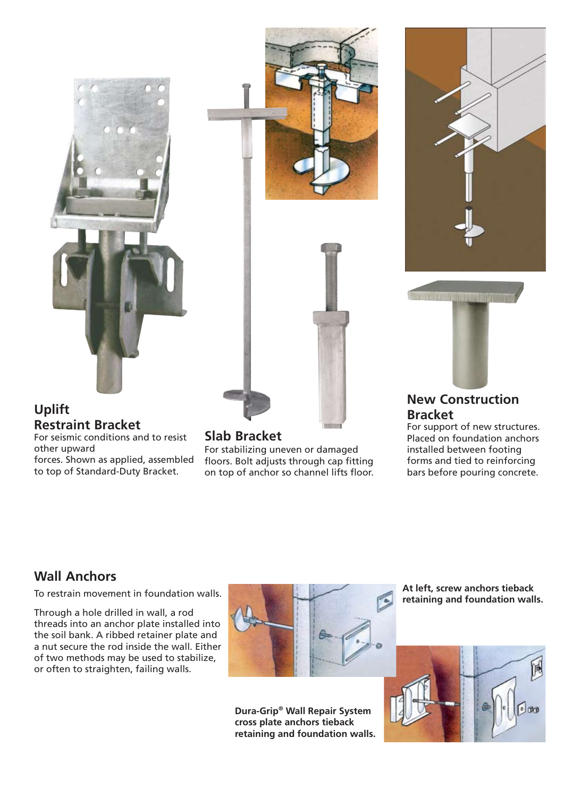







### **Uplift Restraint Bracket**

For seismic conditions and to resist other upward forces. Shown as applied, assembled to top of Standard-Duty Bracket.

For stabilizing uneven or damaged floors. Bolt adjusts through cap fitting on top of anchor so channel lifts floor.

## **New Construction**

**Slab Bracket** For support of new structures.<br>
Placed on foundation anchors installed between footing forms and tied to reinforcing bars before pouring concrete. **Bracket**<br>For support of new structures.

## **Wall Anchors**

To restrain movement in foundation walls.

Through a hole drilled in wall, a rod threads into an anchor plate installed into the soil bank. A ribbed retainer plate and a nut secure the rod inside the wall. Either of two methods may be used to stabilize, or often to straighten, failing walls.



**Dura-Grip® Wall Repair System cross plate anchors tieback retaining and foundation walls.** **At left, screw anchors tieback retaining and foundation walls.**